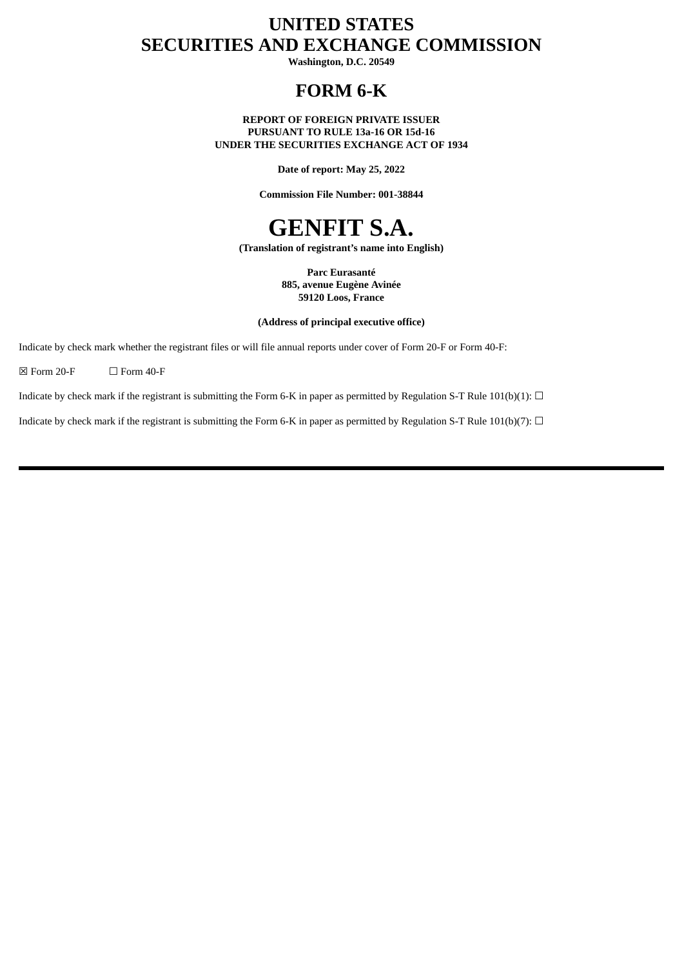# **UNITED STATES SECURITIES AND EXCHANGE COMMISSION**

**Washington, D.C. 20549**

# **FORM 6-K**

**REPORT OF FOREIGN PRIVATE ISSUER PURSUANT TO RULE 13a-16 OR 15d-16 UNDER THE SECURITIES EXCHANGE ACT OF 1934**

**Date of report: May 25, 2022**

**Commission File Number: 001-38844**

# **GENFIT S.A.**

**(Translation of registrant's name into English)**

**Parc Eurasanté 885, avenue Eugène Avinée 59120 Loos, France**

**(Address of principal executive office)**

Indicate by check mark whether the registrant files or will file annual reports under cover of Form 20-F or Form 40-F:

 $\boxtimes$  Form 20-F  $\Box$  Form 40-F

Indicate by check mark if the registrant is submitting the Form 6-K in paper as permitted by Regulation S-T Rule 101(b)(1):  $\Box$ 

Indicate by check mark if the registrant is submitting the Form 6-K in paper as permitted by Regulation S-T Rule 101(b)(7):  $\Box$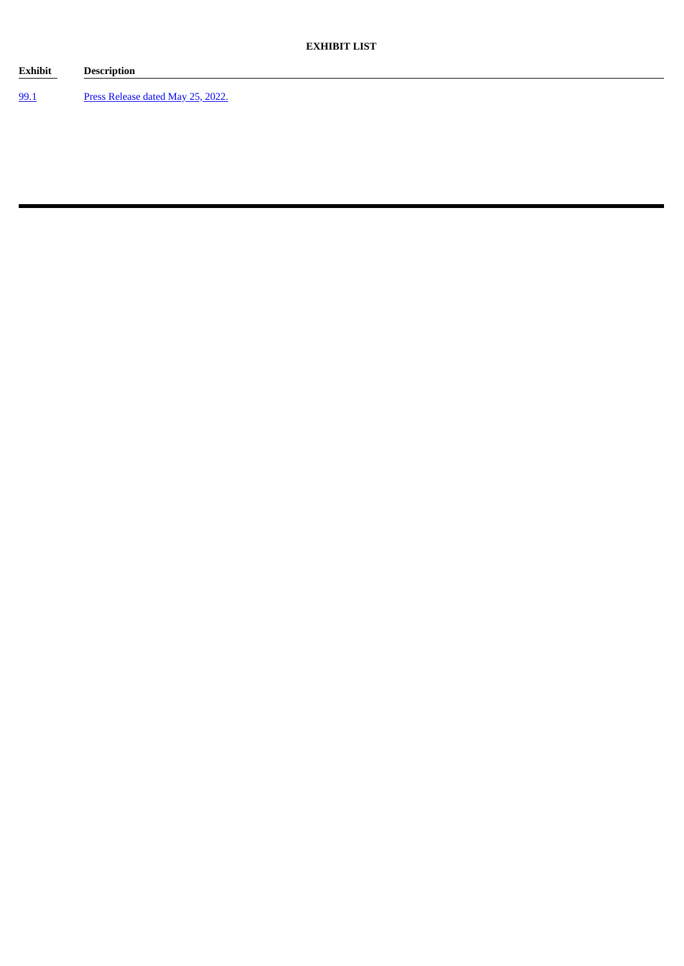**Exhibit Description** [99.1](#page-3-0) Press [Release](#page-3-0) dated May 25, 2022.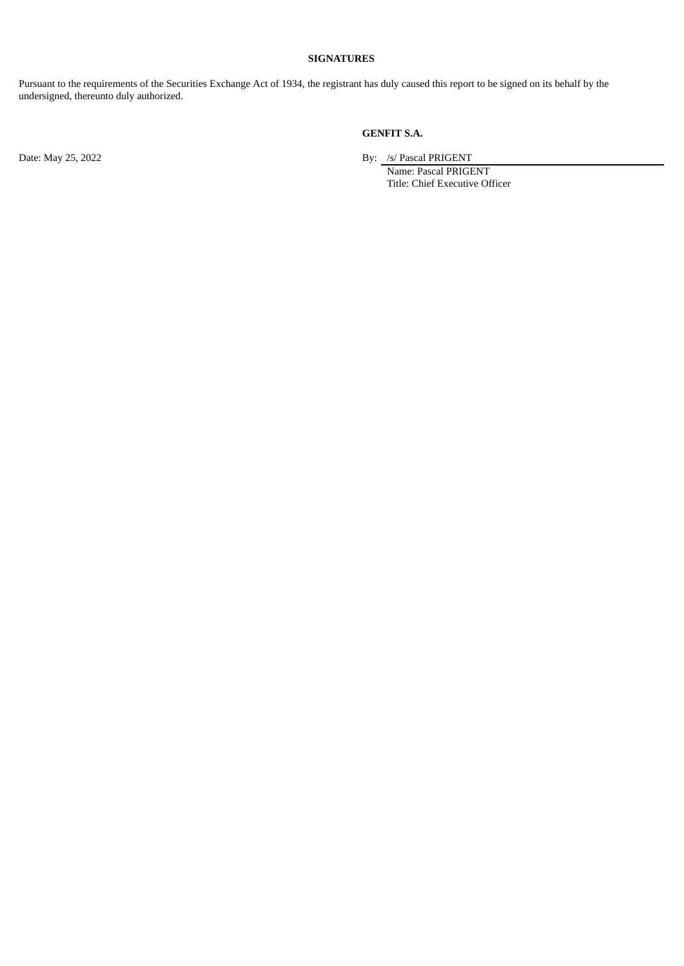## **SIGNATURES**

Pursuant to the requirements of the Securities Exchange Act of 1934, the registrant has duly caused this report to be signed on its behalf by the undersigned, thereunto duly authorized.

## **GENFIT S.A.**

Date: May 25, 2022 By: /s/ Pascal PRIGENT

Name: Pascal PRIGENT Title: Chief Executive Officer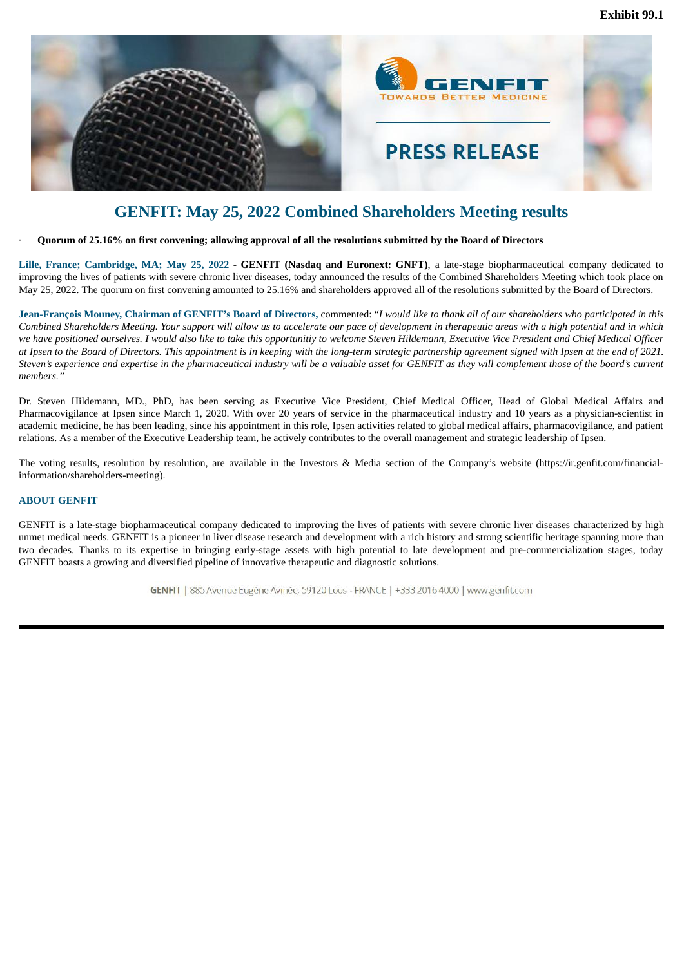<span id="page-3-0"></span>

# **GENFIT: May 25, 2022 Combined Shareholders Meeting results**

Quorum of 25.16% on first convening; allowing approval of all the resolutions submitted by the Board of Directors

**Lille, France; Cambridge, MA; May 25, 2022** - **GENFIT (Nasdaq and Euronext: GNFT)**, a late-stage biopharmaceutical company dedicated to improving the lives of patients with severe chronic liver diseases, today announced the results of the Combined Shareholders Meeting which took place on May 25, 2022. The quorum on first convening amounted to 25.16% and shareholders approved all of the resolutions submitted by the Board of Directors.

Jean-François Mouney, Chairman of GENFIT's Board of Directors, commented: "I would like to thank all of our shareholders who participated in this Combined Shareholders Meeting. Your support will allow us to accelerate our pace of development in therapeutic areas with a high potential and in which we have positioned ourselves. I would also like to take this opportunitiy to welcome Steven Hildemann, Executive Vice President and Chief Medical Officer at Ipsen to the Board of Directors. This appointment is in keeping with the long-term strategic partnership agreement signed with Ipsen at the end of 2021. Steven's experience and expertise in the pharmaceutical industry will be a valuable asset for GENFIT as they will complement those of the board's current *members."*

Dr. Steven Hildemann, MD., PhD, has been serving as Executive Vice President, Chief Medical Officer, Head of Global Medical Affairs and Pharmacovigilance at Ipsen since March 1, 2020. With over 20 years of service in the pharmaceutical industry and 10 years as a physician-scientist in academic medicine, he has been leading, since his appointment in this role, Ipsen activities related to global medical affairs, pharmacovigilance, and patient relations. As a member of the Executive Leadership team, he actively contributes to the overall management and strategic leadership of Ipsen.

The voting results, resolution by resolution, are available in the Investors & Media section of the Company's website (https://ir.genfit.com/financialinformation/shareholders-meeting).

### **ABOUT GENFIT**

GENFIT is a late-stage biopharmaceutical company dedicated to improving the lives of patients with severe chronic liver diseases characterized by high unmet medical needs. GENFIT is a pioneer in liver disease research and development with a rich history and strong scientific heritage spanning more than two decades. Thanks to its expertise in bringing early-stage assets with high potential to late development and pre-commercialization stages, today GENFIT boasts a growing and diversified pipeline of innovative therapeutic and diagnostic solutions.

GENFIT | 885 Avenue Eugène Avinée, 59120 Loos - FRANCE | +333 2016 4000 | www.genfit.com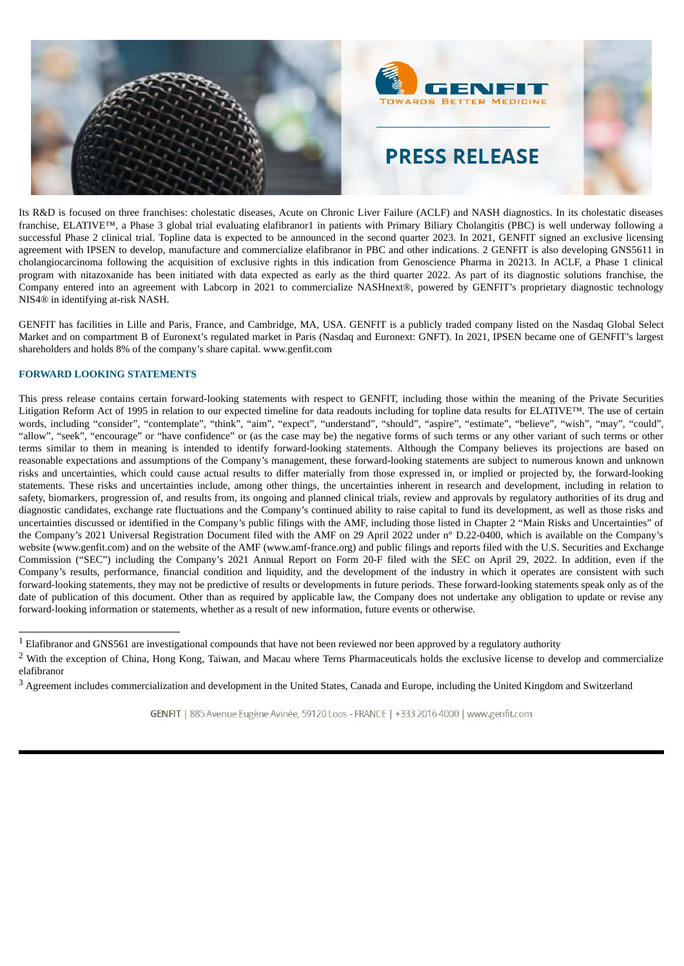

Its R&D is focused on three franchises: cholestatic diseases, Acute on Chronic Liver Failure (ACLF) and NASH diagnostics. In its cholestatic diseases franchise, ELATIVE™, a Phase 3 global trial evaluating elafibranor1 in patients with Primary Biliary Cholangitis (PBC) is well underway following a successful Phase 2 clinical trial. Topline data is expected to be announced in the second quarter 2023. In 2021, GENFIT signed an exclusive licensing agreement with IPSEN to develop, manufacture and commercialize elafibranor in PBC and other indications. 2 GENFIT is also developing GNS5611 in cholangiocarcinoma following the acquisition of exclusive rights in this indication from Genoscience Pharma in 20213. In ACLF, a Phase 1 clinical program with nitazoxanide has been initiated with data expected as early as the third quarter 2022. As part of its diagnostic solutions franchise, the Company entered into an agreement with Labcorp in 2021 to commercialize NASHnext®, powered by GENFIT's proprietary diagnostic technology NIS4® in identifying at-risk NASH.

GENFIT has facilities in Lille and Paris, France, and Cambridge, MA, USA. GENFIT is a publicly traded company listed on the Nasdaq Global Select Market and on compartment B of Euronext's regulated market in Paris (Nasdaq and Euronext: GNFT). In 2021, IPSEN became one of GENFIT's largest shareholders and holds 8% of the company's share capital. www.genfit.com

## **FORWARD LOOKING STATEMENTS**

This press release contains certain forward-looking statements with respect to GENFIT, including those within the meaning of the Private Securities Litigation Reform Act of 1995 in relation to our expected timeline for data readouts including for topline data results for ELATIVE™. The use of certain words, including "consider", "contemplate", "think", "aim", "expect", "understand", "should", "aspire", "estimate", "believe", "wish", "may", "could", "allow", "seek", "encourage" or "have confidence" or (as the case may be) the negative forms of such terms or any other variant of such terms or other terms similar to them in meaning is intended to identify forward-looking statements. Although the Company believes its projections are based on reasonable expectations and assumptions of the Company's management, these forward-looking statements are subject to numerous known and unknown risks and uncertainties, which could cause actual results to differ materially from those expressed in, or implied or projected by, the forward-looking statements. These risks and uncertainties include, among other things, the uncertainties inherent in research and development, including in relation to safety, biomarkers, progression of, and results from, its ongoing and planned clinical trials, review and approvals by regulatory authorities of its drug and diagnostic candidates, exchange rate fluctuations and the Company's continued ability to raise capital to fund its development, as well as those risks and uncertainties discussed or identified in the Company's public filings with the AMF, including those listed in Chapter 2 "Main Risks and Uncertainties" of the Company's 2021 Universal Registration Document filed with the AMF on 29 April 2022 under n° D.22-0400, which is available on the Company's website (www.genfit.com) and on the website of the AMF (www.amf-france.org) and public filings and reports filed with the U.S. Securities and Exchange Commission ("SEC") including the Company's 2021 Annual Report on Form 20-F filed with the SEC on April 29, 2022. In addition, even if the Company's results, performance, financial condition and liquidity, and the development of the industry in which it operates are consistent with such forward-looking statements, they may not be predictive of results or developments in future periods. These forward-looking statements speak only as of the date of publication of this document. Other than as required by applicable law, the Company does not undertake any obligation to update or revise any forward-looking information or statements, whether as a result of new information, future events or otherwise.

 $1$  Elafibranor and GNS561 are investigational compounds that have not been reviewed nor been approved by a regulatory authority

<sup>&</sup>lt;sup>2</sup> With the exception of China, Hong Kong, Taiwan, and Macau where Terns Pharmaceuticals holds the exclusive license to develop and commercialize elafibranor

<sup>&</sup>lt;sup>3</sup> Agreement includes commercialization and development in the United States, Canada and Europe, including the United Kingdom and Switzerland

GENFIT | 885 Avenue Eugène Avinée, 59120 Loos - FRANCE | +333 2016 4000 | www.genfit.com